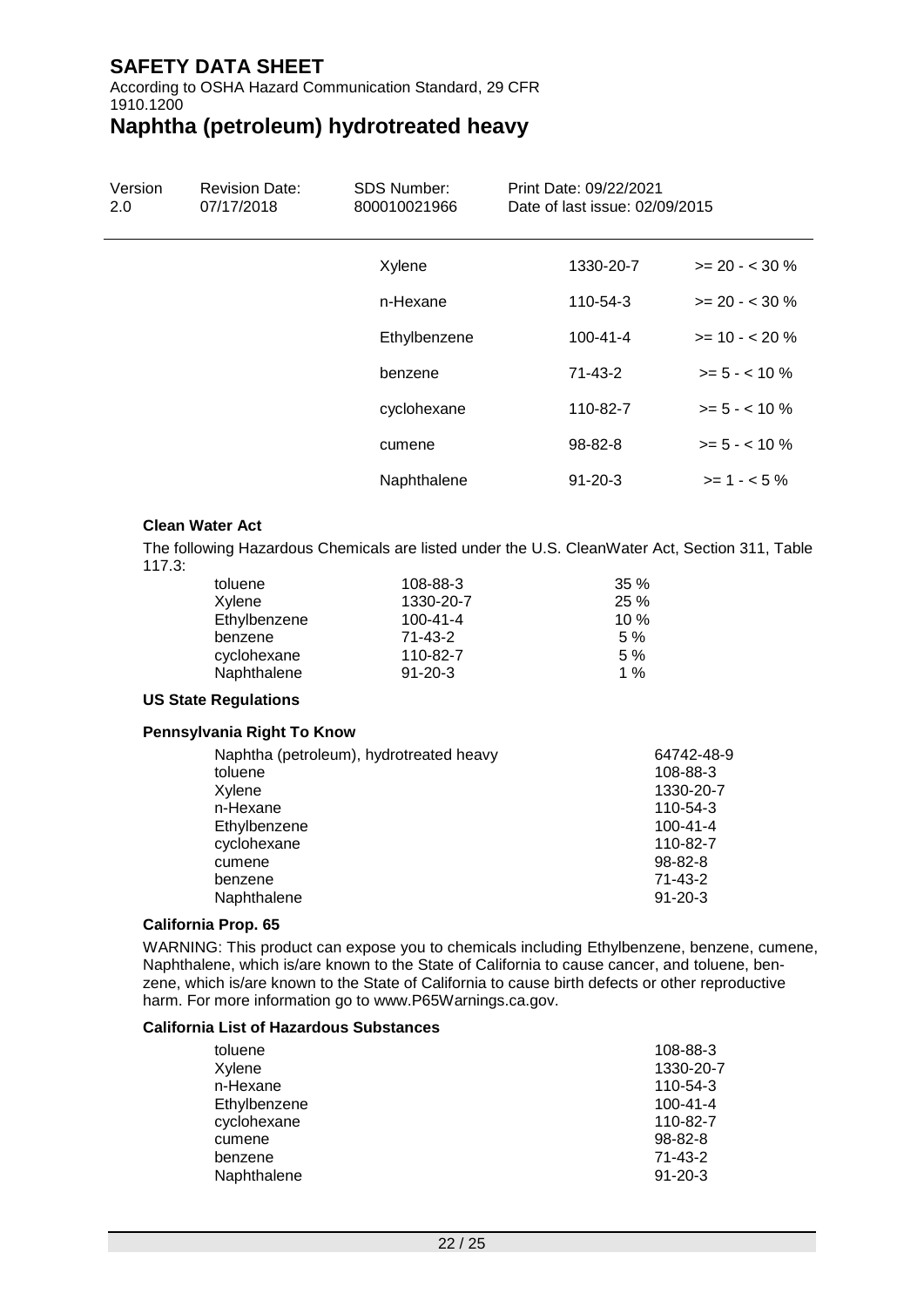According to OSHA Hazard Communication Standard, 29 CFR 1910.1200

# **Naphtha (petroleum) hydrotreated heavy**

| Version | <b>Revision Date:</b> | <b>SDS Number:</b><br>95₿ | <b>Print Date:</b><br>Date of last issue: |                   |
|---------|-----------------------|---------------------------|-------------------------------------------|-------------------|
|         |                       | Xylene                    | 1330-20-7                                 | $>= 20 - < 30 \%$ |
|         |                       | n-Hexane                  | 110-54-3                                  | $>= 20 - < 30 \%$ |
|         |                       | Ethylbenzene              | $100 - 41 - 4$                            | $>= 10 - 20 \%$   |
|         |                       | benzene                   | 71-43-2                                   | $>= 5 - < 10 \%$  |
|         |                       | cyclohexane               | 110-82-7                                  | $>= 5 - < 10 \%$  |
|         |                       | cumene                    | 98-82-8                                   | $>= 5 - < 10 \%$  |
|         |                       | Naphthalene               | $91 - 20 - 3$                             | $>= 1 - 5\%$      |

### **Clean Water Act**

The following Hazardous Chemicals are listed under the U.S. CleanWater Act, Section 311, Table 117.3:

| toluene      | 108-88-3       | $35\%$ |
|--------------|----------------|--------|
| Xylene       | 1330-20-7      | 25%    |
| Ethylbenzene | $100 - 41 - 4$ | $10\%$ |
| benzene      | 71-43-2        | 5%     |
| cyclohexane  | 110-82-7       | 5%     |
| Naphthalene  | $91 - 20 - 3$  | 1 $%$  |

### **US State Regulations**

### **Pennsylvania Right To Know**

| Naphtha (petroleum), hydrotreated heavy | 64742-48-9     |
|-----------------------------------------|----------------|
| toluene                                 | 108-88-3       |
| Xylene                                  | 1330-20-7      |
| n-Hexane                                | 110-54-3       |
| Ethylbenzene                            | $100 - 41 - 4$ |
| cyclohexane                             | 110-82-7       |
| cumene                                  | $98 - 82 - 8$  |
| benzene                                 | $71 - 43 - 2$  |
| Naphthalene                             | $91 - 20 - 3$  |
|                                         |                |

### **California Prop. 65**

WARNING: This product can expose you to chemicals including Ethylbenzene, benzene, cumene, Naphthalene, which is/are known to the State of California to cause cancer, and toluene, benzene, which is/are known to the State of California to cause birth defects or other reproductive harm. For more information go to www.P65Warnings.ca.gov.

#### **California List of Hazardous Substances**

| 108-88-3       |
|----------------|
| 1330-20-7      |
| 110-54-3       |
| $100 - 41 - 4$ |
| 110-82-7       |
| $98 - 82 - 8$  |
| 71-43-2        |
| $91 - 20 - 3$  |
|                |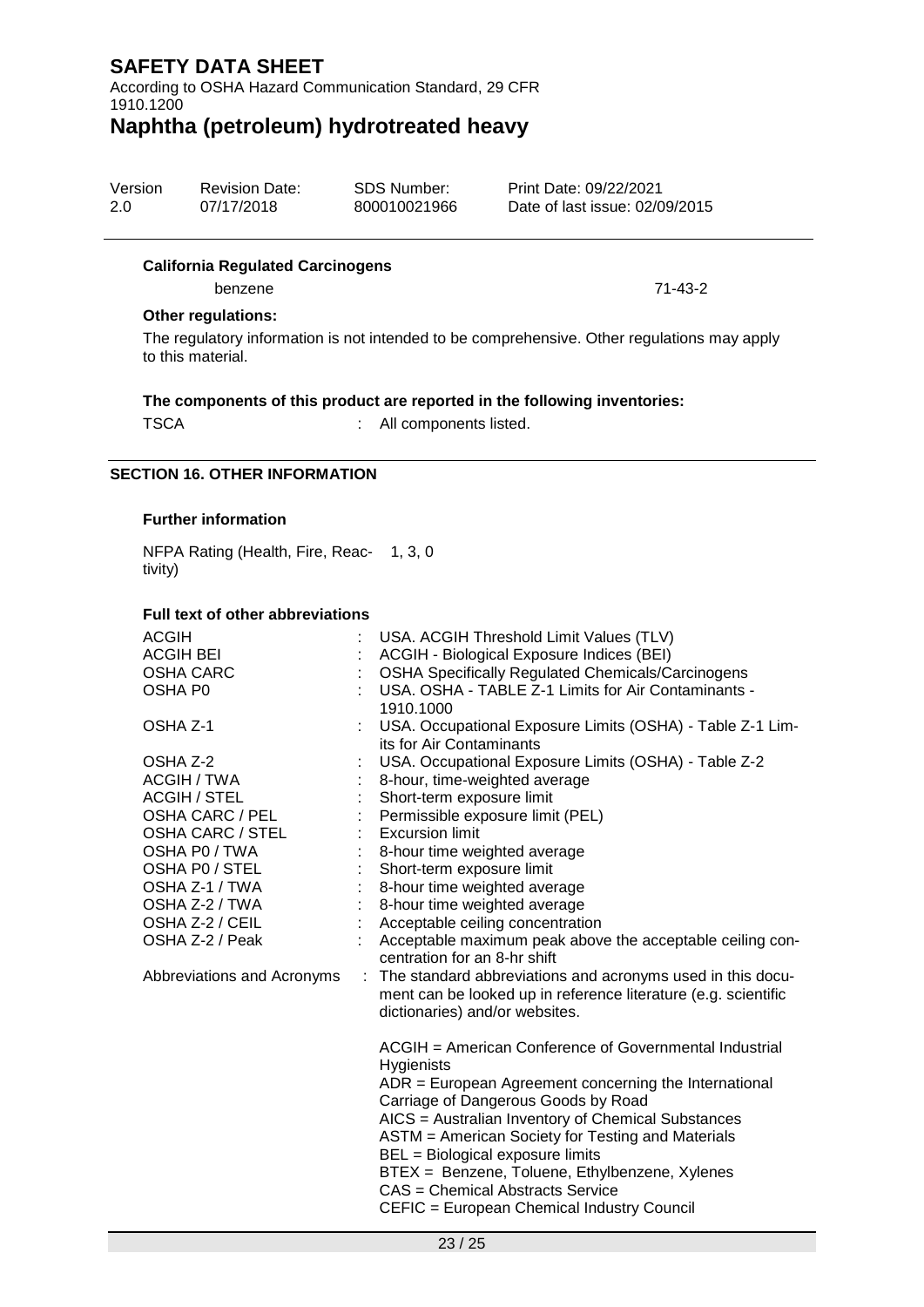According to OSHA Hazard Communication Standard, 29 CFR 1910.1200

# **Naphtha (petroleum) hydrotreated heavy**

| Version | <b>Revision Date:</b> | SDS Number: | Print Date: 4/01/2022         |
|---------|-----------------------|-------------|-------------------------------|
| 1.0     | 4/01/2022             | VRAM00026   | Date of last issue: 4/01/2022 |

#### **California Regulated Carcinogens**

benzene 71-43-2

### **Other regulations:**

The regulatory information is not intended to be comprehensive. Other regulations may apply to this material.

### **The components of this product are reported in the following inventories:**

TSCA : All components listed.

### **SECTION 16. OTHER INFORMATION**

#### **Further information**

NFPA Rating (Health, Fire, Reac-1, 3, 0 tivity)

#### **Full text of other abbreviations**

| <b>ACGIH</b>               |    | USA. ACGIH Threshold Limit Values (TLV)                                                                                                                        |
|----------------------------|----|----------------------------------------------------------------------------------------------------------------------------------------------------------------|
| <b>ACGIH BEI</b>           |    | ACGIH - Biological Exposure Indices (BEI)                                                                                                                      |
| <b>OSHA CARC</b>           |    | <b>OSHA Specifically Regulated Chemicals/Carcinogens</b>                                                                                                       |
| OSHA P <sub>0</sub>        |    | USA, OSHA - TABLE Z-1 Limits for Air Contaminants -<br>1910.1000                                                                                               |
| OSHA Z-1                   |    | USA. Occupational Exposure Limits (OSHA) - Table Z-1 Lim-<br>its for Air Contaminants                                                                          |
| OSHA Z-2                   |    | USA. Occupational Exposure Limits (OSHA) - Table Z-2                                                                                                           |
| ACGIH / TWA                |    | 8-hour, time-weighted average                                                                                                                                  |
| ACGIH / STEL               |    | Short-term exposure limit                                                                                                                                      |
| OSHA CARC / PEL            |    | Permissible exposure limit (PEL)                                                                                                                               |
| OSHA CARC / STEL           |    | <b>Excursion limit</b>                                                                                                                                         |
| OSHA P0 / TWA              |    | 8-hour time weighted average                                                                                                                                   |
| OSHA P0 / STEL             |    | Short-term exposure limit                                                                                                                                      |
| OSHA Z-1 / TWA             |    | 8-hour time weighted average                                                                                                                                   |
| OSHA Z-2 / TWA             |    | 8-hour time weighted average                                                                                                                                   |
| OSHA Z-2 / CEIL            |    | : Acceptable ceiling concentration                                                                                                                             |
| OSHA Z-2 / Peak            |    | : Acceptable maximum peak above the acceptable ceiling con-<br>centration for an 8-hr shift                                                                    |
| Abbreviations and Acronyms | ÷. | The standard abbreviations and acronyms used in this docu-<br>ment can be looked up in reference literature (e.g. scientific<br>dictionaries) and/or websites. |
|                            |    | ACGIH = American Conference of Governmental Industrial<br>Hygienists                                                                                           |
|                            |    | ADR = European Agreement concerning the International<br>Carriage of Dangerous Goods by Road                                                                   |
|                            |    | AICS = Australian Inventory of Chemical Substances<br>ASTM = American Society for Testing and Materials<br>BEL = Biological exposure limits                    |
|                            |    | BTEX = Benzene, Toluene, Ethylbenzene, Xylenes<br>CAS = Chemical Abstracts Service<br>CEFIC = European Chemical Industry Council                               |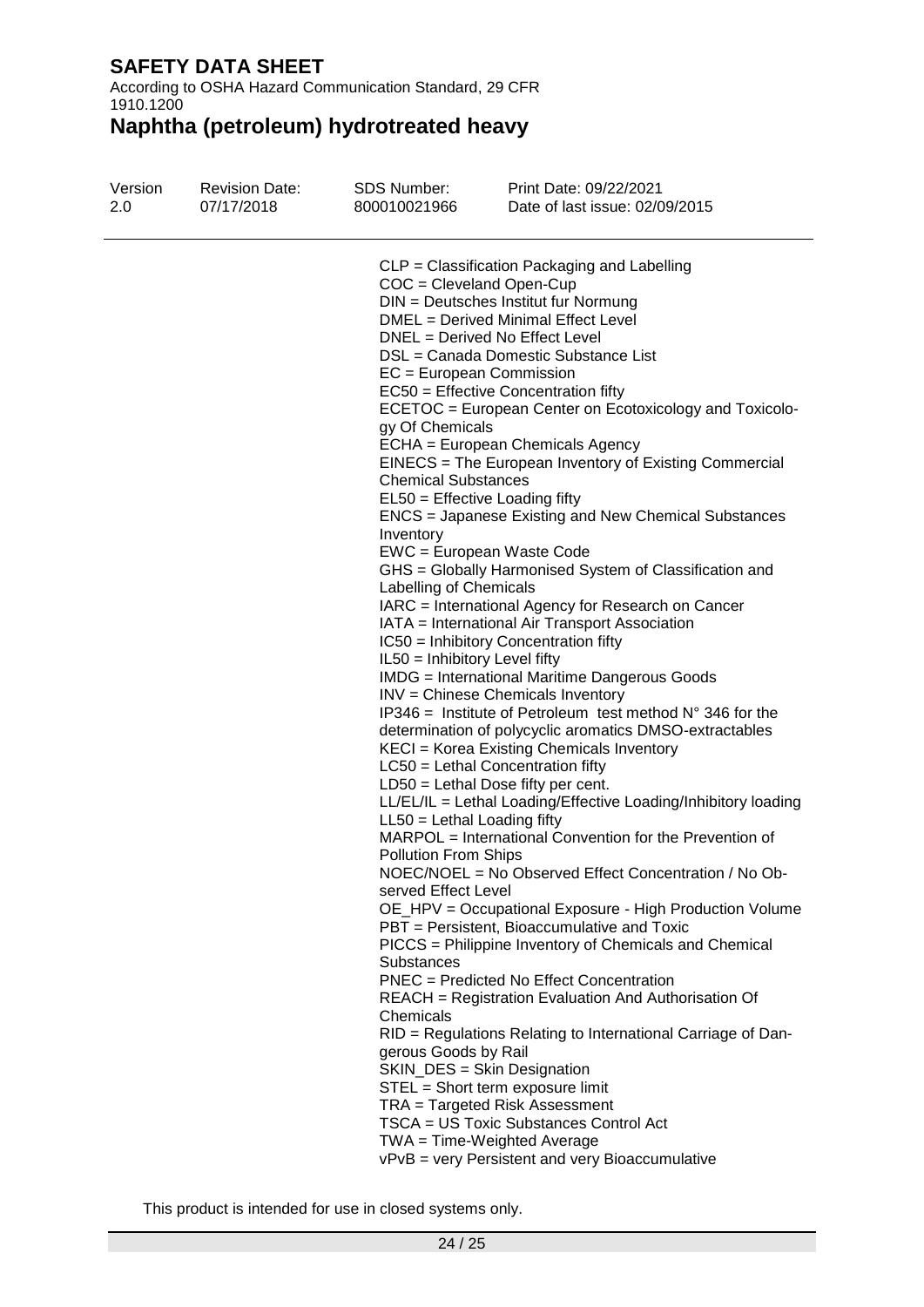According to OSHA Hazard Communication Standard, 29 CFR 1910.1200

# **Naphtha (petroleum) hydrotreated heavy**

| Version<br>1.0 | <b>Revision Date:</b><br>4/01/2022 | <b>SDS Number:</b><br>VRAM00026 | Print Date: 4/01/2022<br>Date of last issue: 4/01/2022                                                 |
|----------------|------------------------------------|---------------------------------|--------------------------------------------------------------------------------------------------------|
|                |                                    |                                 | CLP = Classification Packaging and Labelling                                                           |
|                |                                    |                                 | $COC = Cleveland Open-Cup$                                                                             |
|                |                                    |                                 | DIN = Deutsches Institut fur Normung                                                                   |
|                |                                    |                                 | DMEL = Derived Minimal Effect Level                                                                    |
|                |                                    |                                 | DNEL = Derived No Effect Level                                                                         |
|                |                                    |                                 | DSL = Canada Domestic Substance List                                                                   |
|                |                                    |                                 | EC = European Commission                                                                               |
|                |                                    |                                 | EC50 = Effective Concentration fifty                                                                   |
|                |                                    |                                 | ECETOC = European Center on Ecotoxicology and Toxicolo-                                                |
|                |                                    | gy Of Chemicals                 |                                                                                                        |
|                |                                    |                                 | ECHA = European Chemicals Agency<br>EINECS = The European Inventory of Existing Commercial             |
|                |                                    | <b>Chemical Substances</b>      |                                                                                                        |
|                |                                    |                                 | $EL50 = E$ ffective Loading fifty                                                                      |
|                |                                    |                                 | ENCS = Japanese Existing and New Chemical Substances                                                   |
|                |                                    | Inventory                       |                                                                                                        |
|                |                                    |                                 | EWC = European Waste Code                                                                              |
|                |                                    |                                 | GHS = Globally Harmonised System of Classification and                                                 |
|                |                                    | Labelling of Chemicals          |                                                                                                        |
|                |                                    |                                 | IARC = International Agency for Research on Cancer                                                     |
|                |                                    |                                 | IATA = International Air Transport Association                                                         |
|                |                                    |                                 | IC50 = Inhibitory Concentration fifty                                                                  |
|                |                                    | IL50 = Inhibitory Level fifty   |                                                                                                        |
|                |                                    |                                 | <b>IMDG</b> = International Maritime Dangerous Goods                                                   |
|                |                                    |                                 | INV = Chinese Chemicals Inventory                                                                      |
|                |                                    |                                 | IP346 = Institute of Petroleum test method $N^{\circ}$ 346 for the                                     |
|                |                                    |                                 | determination of polycyclic aromatics DMSO-extractables                                                |
|                |                                    |                                 | KECI = Korea Existing Chemicals Inventory                                                              |
|                |                                    |                                 | $LC50$ = Lethal Concentration fifty                                                                    |
|                |                                    |                                 | $LD50 = Lethal Does fifty per cent.$<br>LL/EL/IL = Lethal Loading/Effective Loading/Inhibitory loading |
|                |                                    | $LL50 = Lethal$ Loading fifty   |                                                                                                        |
|                |                                    |                                 | MARPOL = International Convention for the Prevention of                                                |
|                |                                    | <b>Pollution From Ships</b>     |                                                                                                        |
|                |                                    |                                 | NOEC/NOEL = No Observed Effect Concentration / No Ob-                                                  |
|                |                                    | served Effect Level             |                                                                                                        |
|                |                                    |                                 | OE_HPV = Occupational Exposure - High Production Volume                                                |
|                |                                    |                                 | PBT = Persistent, Bioaccumulative and Toxic                                                            |
|                |                                    |                                 | PICCS = Philippine Inventory of Chemicals and Chemical                                                 |
|                |                                    | Substances                      |                                                                                                        |
|                |                                    |                                 | <b>PNEC</b> = Predicted No Effect Concentration                                                        |
|                |                                    |                                 | REACH = Registration Evaluation And Authorisation Of                                                   |
|                |                                    | Chemicals                       |                                                                                                        |
|                |                                    |                                 | RID = Regulations Relating to International Carriage of Dan-                                           |
|                |                                    | gerous Goods by Rail            |                                                                                                        |
|                |                                    |                                 | SKIN_DES = Skin Designation                                                                            |
|                |                                    |                                 | STEL = Short term exposure limit                                                                       |
|                |                                    |                                 | TRA = Targeted Risk Assessment                                                                         |
|                |                                    |                                 | TSCA = US Toxic Substances Control Act                                                                 |
|                |                                    |                                 | TWA = Time-Weighted Average                                                                            |
|                |                                    |                                 | vPvB = very Persistent and very Bioaccumulative                                                        |

This product is intended for use in closed systems only.